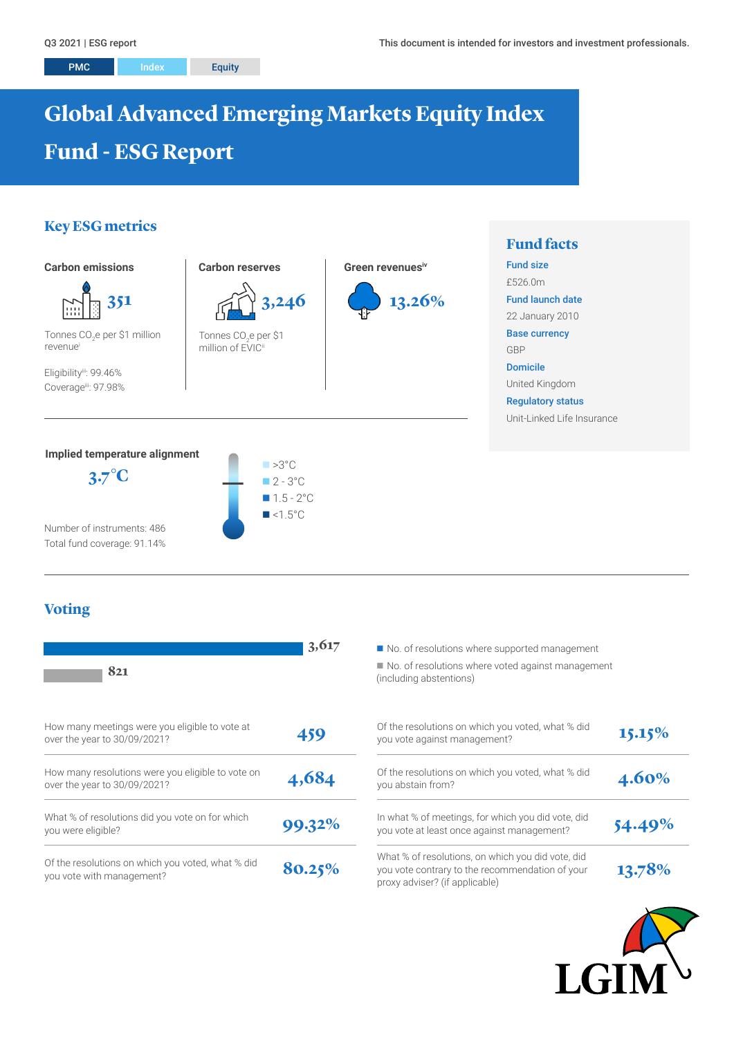PMC Index Equity

# **Global Advanced Emerging Markets Equity Index Fund - ESG Report**

# **Key ESG metrics**



Number of instruments: 486 Total fund coverage: 91.14%

# **Voting**

| 821                                                                               | 3,617  | No. of resolutions where supported management<br>No. of resolutions where voted against manage<br>(including abstentions)              |
|-----------------------------------------------------------------------------------|--------|----------------------------------------------------------------------------------------------------------------------------------------|
| How many meetings were you eligible to vote at<br>over the year to 30/09/2021?    | 459    | Of the resolutions on which you voted, what % did<br>you vote against management?                                                      |
| How many resolutions were you eligible to vote on<br>over the year to 30/09/2021? | 4,684  | Of the resolutions on which you voted, what % did<br>you abstain from?                                                                 |
| What % of resolutions did you vote on for which<br>you were eligible?             | 99.32% | In what % of meetings, for which you did vote, did<br>you vote at least once against management?                                       |
| Of the resolutions on which you voted, what % did<br>you vote with management?    | 80.25% | What % of resolutions, on which you did vote, did<br>you vote contrary to the recommendation of your<br>proxy adviser? (if applicable) |



solutions where voted against management abstentions)

| Of the resolutions on which you voted, what % did<br>you vote against management?                                                      | 15.15% |
|----------------------------------------------------------------------------------------------------------------------------------------|--------|
| Of the resolutions on which you voted, what % did<br>you abstain from?                                                                 | 4.60%  |
| In what % of meetings, for which you did vote, did<br>you vote at least once against management?                                       | 54.49% |
| What % of resolutions, on which you did vote, did<br>you vote contrary to the recommendation of your<br>proxy adviser? (if applicable) | 13.78% |

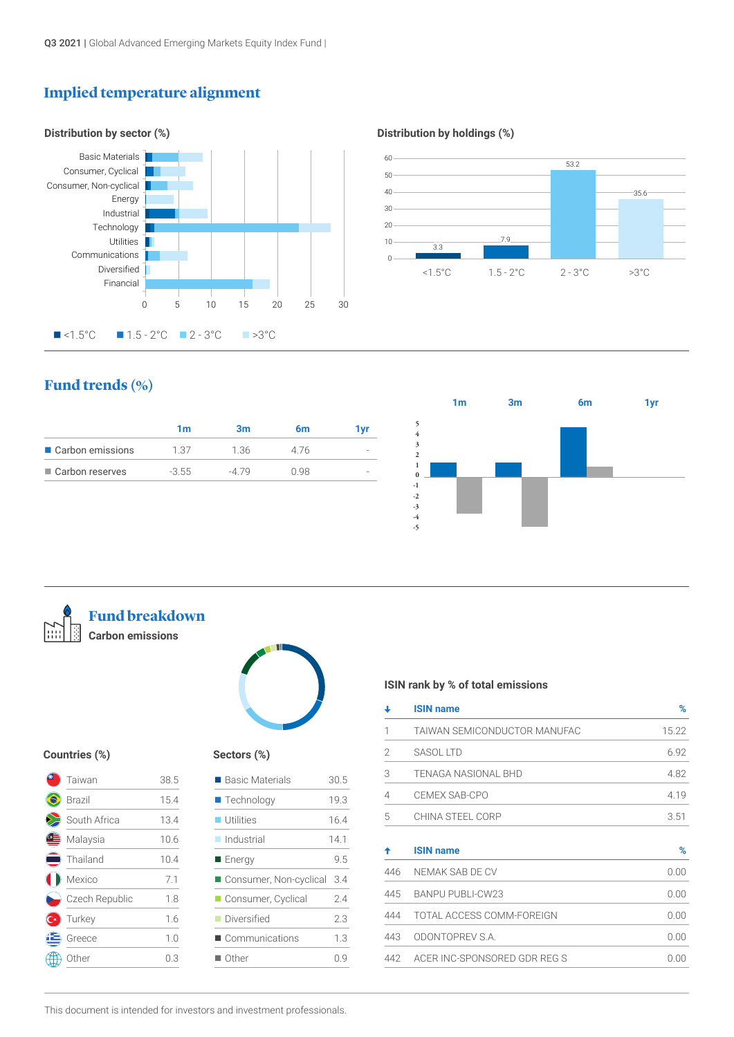# **Implied temperature alignment**



#### **Distribution by holdings (%)**



## **Fund trends (%)**

|                   | 1m      | 3m    | 6m   | 1 vr |
|-------------------|---------|-------|------|------|
| Carbon emissions  | 1.37    | 1.36  | 476  |      |
| ■ Carbon reserves | $-3.55$ | -4.79 | O 98 |      |
|                   |         |       |      |      |





**Fund breakdown Carbon emissions**



#### **Countries (%)**

| Taiwan         | 38.5 |
|----------------|------|
| <b>Brazil</b>  | 15.4 |
| South Africa   | 13.4 |
| Malaysia       | 10.6 |
| Thailand       | 10.4 |
| Mexico         | 7.1  |
| Czech Republic | 1.8  |
| Turkey         | 1.6  |
| Greece         | 1.0  |
| Other          | 0.3  |

#### **Sectors (%)**

| $\blacksquare$ Basic Materials | 30.5 |
|--------------------------------|------|
| $\blacksquare$ Technology      | 19.3 |
| $\blacksquare$ Utilities       | 16.4 |
| $\blacksquare$ Industrial      | 14.1 |
| Energy                         | 9.5  |
| Consumer, Non-cyclical         | 3.4  |
| Consumer, Cyclical             | 24   |
| ■ Diversified                  | 23   |
| Communications                 | 13   |
| $\blacksquare$ Other           | Ωg   |

#### **ISIN rank by % of total emissions**

| <b>ISIN name</b>             | %     |
|------------------------------|-------|
| TAIWAN SEMICONDUCTOR MANUFAC | 15.22 |
| SASOL LTD                    | 6.92  |
| <b>TENAGA NASIONAL BHD</b>   | 4.82  |
| CEMEX SAB-CPO                | 4.19  |
| CHINA STEEL CORP             | 3.51  |
|                              |       |
| <b>ISIN name</b>             | %     |
| NEMAK SAB DE CV              | 0.00  |
| BANPU PUBLI-CW23             | 0.00  |
| TOTAL ACCESS COMM-FOREIGN    | 0.00  |
| ODONTOPREV S.A.              | 0.00  |
|                              |       |

This document is intended for investors and investment professionals.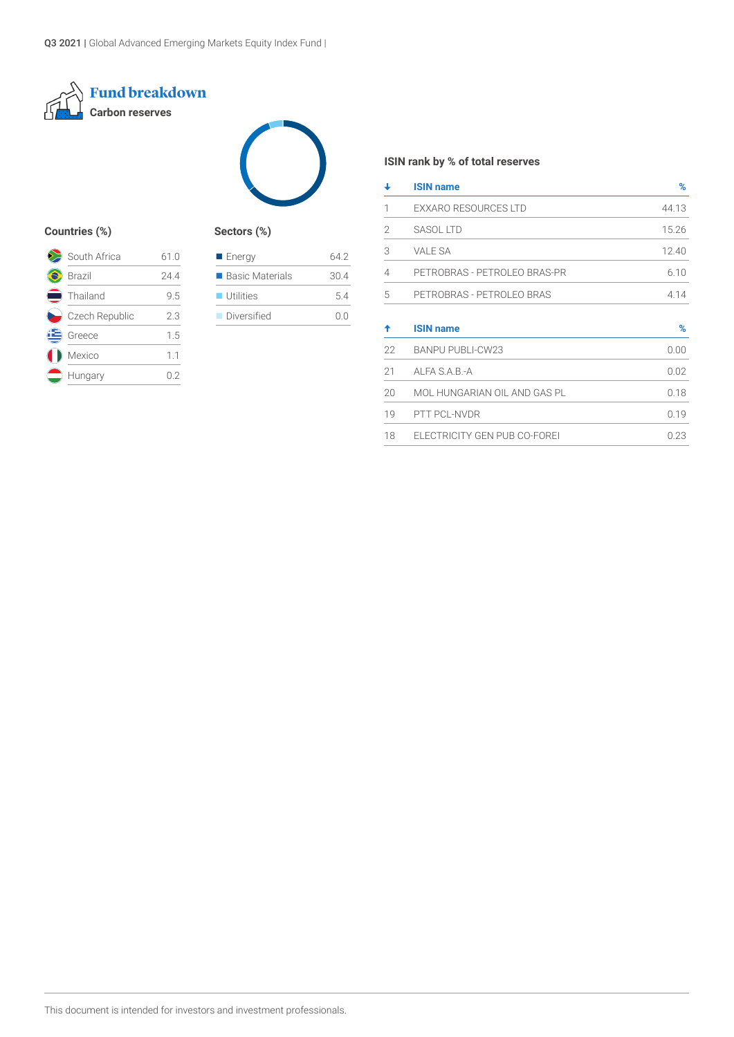



#### **Countries (%) Sectors (%)**

| South Africa   | 61.0 |
|----------------|------|
| <b>Brazil</b>  | 244  |
| Thailand       | 9.5  |
| Czech Republic | 23   |
| Greece         | 1.5  |
| Mexico         | 1.1  |
| Hungary        | በ '2 |

| ■ Energy                 | 64 2 |
|--------------------------|------|
| ■ Basic Materials        | 30.4 |
| $\blacksquare$ Utilities | 54   |
| Diversified              | n n  |
|                          |      |

#### **ISIN rank by % of total reserves**

| ┹  | <b>ISIN name</b>             | %     |
|----|------------------------------|-------|
| 1  | <b>EXXARO RESOURCES LTD</b>  | 44.13 |
| 2  | <b>SASOL LTD</b>             | 15.26 |
| 3  | <b>VALE SA</b>               | 12.40 |
| 4  | PETROBRAS - PETROLEO BRAS-PR | 6.10  |
| 5  | PETROBRAS - PETROLEO BRAS    | 4.14  |
| ♠  | <b>ISIN name</b>             | %     |
| 22 | <b>BANPU PUBLI-CW23</b>      | 0.00  |
| 21 | ALFA S.A.B.-A                | 0.02  |
| 20 | MOL HUNGARIAN OIL AND GAS PL | 0.18  |
| 19 |                              |       |
|    | PTT PCL-NVDR                 | 0.19  |